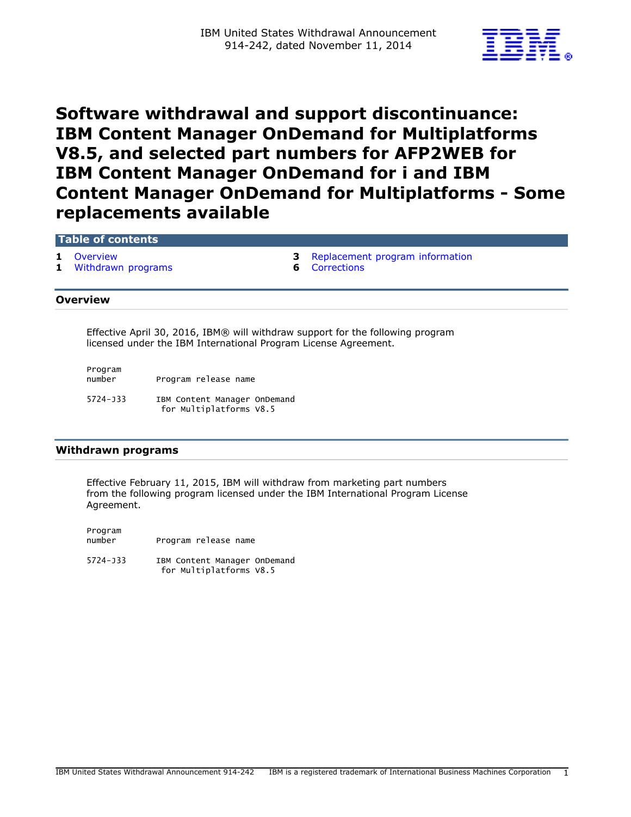

# **Software withdrawal and support discontinuance: IBM Content Manager OnDemand for Multiplatforms V8.5, and selected part numbers for AFP2WEB for IBM Content Manager OnDemand for i and IBM Content Manager OnDemand for Multiplatforms - Some replacements available**

## **Table of contents**

- 
- **1** [Withdrawn programs](#page-0-1) **6** [Corrections](#page-5-0)
- **1** [Overview](#page-0-0) **3** [Replacement program information](#page-2-0)
	-

## <span id="page-0-0"></span>**Overview**

Effective April 30, 2016, IBM® will withdraw support for the following program licensed under the IBM International Program License Agreement.

Program

Program release name

5724-J33 IBM Content Manager OnDemand for Multiplatforms V8.5

#### <span id="page-0-1"></span>**Withdrawn programs**

Effective February 11, 2015, IBM will withdraw from marketing part numbers from the following program licensed under the IBM International Program License Agreement.

Program number Program release name 5724-J33 IBM Content Manager OnDemand for Multiplatforms V8.5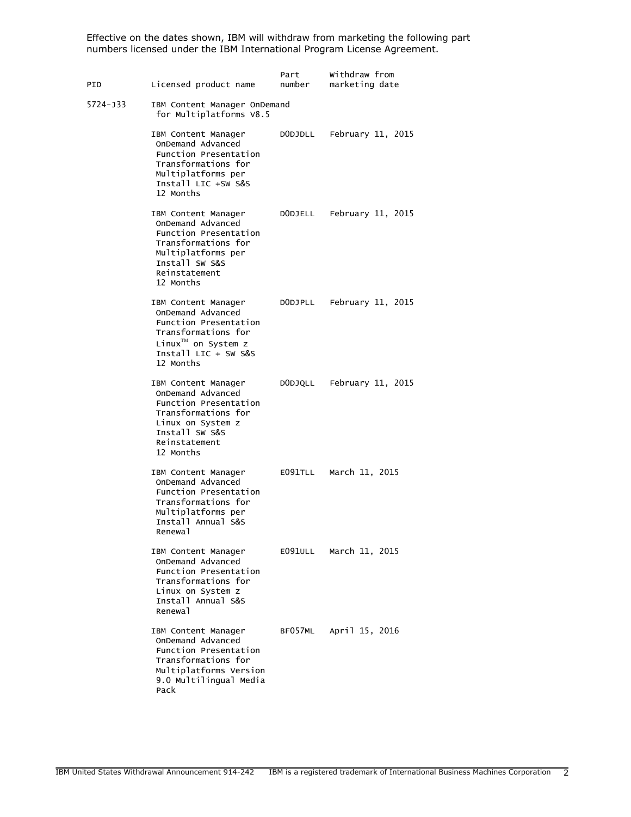Effective on the dates shown, IBM will withdraw from marketing the following part numbers licensed under the IBM International Program License Agreement.

| PID      | Licensed product name                                                                                                                                              | Part<br>number | Withdraw from<br>marketing date |  |  |
|----------|--------------------------------------------------------------------------------------------------------------------------------------------------------------------|----------------|---------------------------------|--|--|
| 5724-J33 | IBM Content Manager OnDemand<br>for Multiplatforms V8.5                                                                                                            |                |                                 |  |  |
|          | IBM Content Manager<br>OnDemand Advanced<br>Function Presentation<br>Transformations for<br>Multiplatforms per<br>Install LIC +SW S&S<br>12 Months                 | DODJDLL        | February 11, 2015               |  |  |
|          | IBM Content Manager<br>OnDemand Advanced<br>Function Presentation<br>Transformations for<br>Multiplatforms per<br>Install SW S&S<br>Reinstatement<br>12 Months     | DODJELL        | February 11, 2015               |  |  |
|          | IBM Content Manager<br>OnDemand Advanced<br>Function Presentation<br>Transformations for<br>$Linux^{\text{TM}}$ on System z<br>Install LIC $+$ SW S&S<br>12 Months |                | DODJPLL February 11, 2015       |  |  |
|          | IBM Content Manager<br>OnDemand Advanced<br>Function Presentation<br>Transformations for<br>Linux on System z<br>Install SW S&S<br>Reinstatement<br>12 Months      |                | DODJQLL February 11, 2015       |  |  |
|          | IBM Content Manager<br>OnDemand Advanced<br>Function Presentation<br>Transformations for<br>Multiplatforms per<br>Install Annual S&S<br>Renewal                    | E091TLL        | March 11, 2015                  |  |  |
|          | IBM Content Manager<br>OnDemand Advanced<br>Function Presentation<br>Transformations for<br>Linux on System z<br>Install Annual S&S<br>Renewal                     | E091ULL        | March 11, 2015                  |  |  |
|          | IBM Content Manager<br>OnDemand Advanced<br>Function Presentation<br>Transformations for<br>Multiplatforms Version<br>9.0 Multilingual Media<br>Pack               | BF057ML        | April 15, 2016                  |  |  |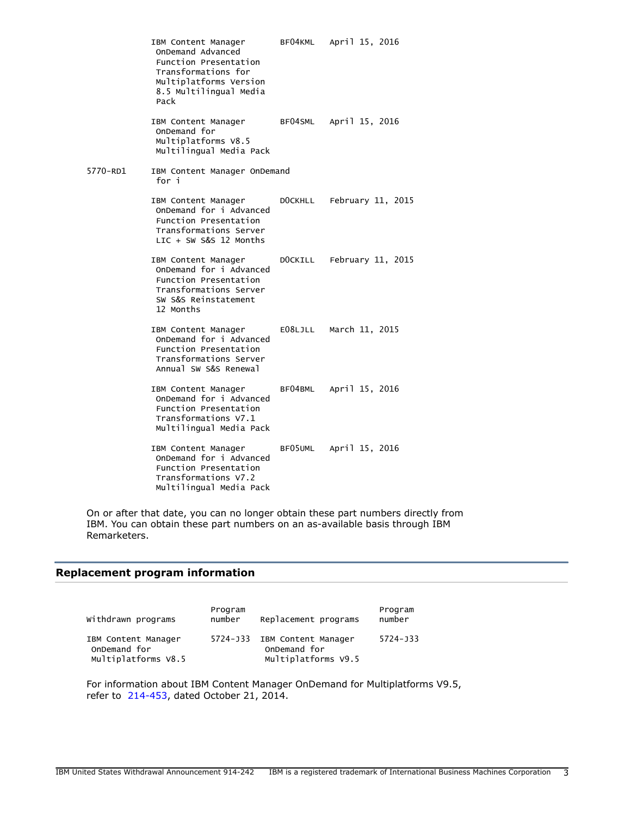|          | IBM Content Manager<br>OnDemand Advanced<br>Function Presentation<br>Transformations for<br>Multiplatforms Version<br>8.5 Multilingual Media<br>Pack |         | BF04KML April 15, 2016    |  |  |
|----------|------------------------------------------------------------------------------------------------------------------------------------------------------|---------|---------------------------|--|--|
|          | IBM Content Manager<br>OnDemand for<br>Multiplatforms V8.5<br>Multilingual Media Pack                                                                |         | BF04SML April 15, 2016    |  |  |
| 5770-RD1 | IBM Content Manager OnDemand<br>for i                                                                                                                |         |                           |  |  |
|          | IBM Content Manager<br>OnDemand for i Advanced<br>Function Presentation<br>Transformations Server<br>$LIC + SW S&S 12$ Months                        | DOCKHLL | February 11, 2015         |  |  |
|          | IBM Content Manager<br>OnDemand for i Advanced<br>Function Presentation<br>Transformations Server<br>SW S&S Reinstatement<br>12 Months               |         | DOCKILL February 11, 2015 |  |  |
|          | IBM Content Manager<br>OnDemand for i Advanced<br>Function Presentation<br>Transformations Server<br>Annual SW S&S Renewal                           |         | E08LJLL March 11, 2015    |  |  |
|          | IBM Content Manager<br>OnDemand for i Advanced<br>Function Presentation<br>Transformations V7.1<br>Multilingual Media Pack                           |         | BF04BML April 15, 2016    |  |  |
|          | IBM Content Manager<br>OnDemand for i Advanced<br>Function Presentation<br>Transformations V7.2<br>Multilingual Media Pack                           |         | BF05UML April 15, 2016    |  |  |

On or after that date, you can no longer obtain these part numbers directly from IBM. You can obtain these part numbers on an as-available basis through IBM Remarketers.

# <span id="page-2-0"></span>**Replacement program information**

| Withdrawn programs                                         | Program<br>number | Replacement programs                                                | Program<br>number |
|------------------------------------------------------------|-------------------|---------------------------------------------------------------------|-------------------|
| IBM Content Manager<br>OnDemand for<br>Multiplatforms V8.5 |                   | 5724-J33 IBM Content Manager<br>OnDemand for<br>Multiplatforms V9.5 | 5724-133          |

For information about IBM Content Manager OnDemand for Multiplatforms V9.5, refer to [214-453](http://www.ibm.com/common/ssi/cgi-bin/ssialias?infotype=an&subtype=ca&appname=gpateam&supplier=897&letternum=ENUS214-453), dated October 21, 2014.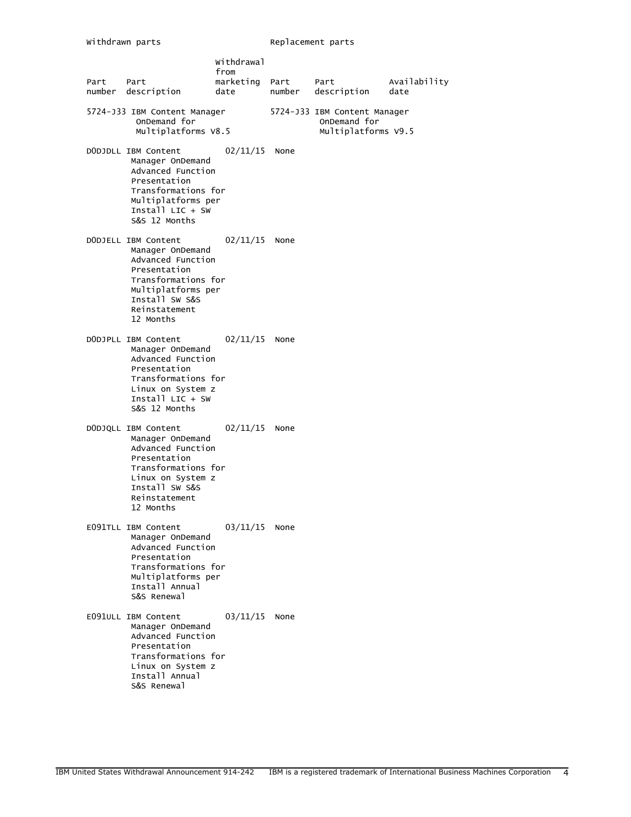| Part | Part<br>number description                                                                                                                                                | Withdrawal<br>from<br>marketing<br>date | Part<br>number | Part<br>description                                                 | Availability<br>date |
|------|---------------------------------------------------------------------------------------------------------------------------------------------------------------------------|-----------------------------------------|----------------|---------------------------------------------------------------------|----------------------|
|      | 5724-J33 IBM Content Manager<br>OnDemand for<br>Multiplatforms V8.5                                                                                                       |                                         |                | 5724-J33 IBM Content Manager<br>OnDemand for<br>Multiplatforms V9.5 |                      |
|      | DODJDLL IBM Content<br>Manager OnDemand<br>Advanced Function<br>Presentation<br>Transformations for<br>Multiplatforms per<br>Install LIC + SW<br>S&S 12 Months            | 02/11/15                                | None           |                                                                     |                      |
|      | DODJELL IBM Content<br>Manager OnDemand<br>Advanced Function<br>Presentation<br>Transformations for<br>Multiplatforms per<br>Install SW S&S<br>Reinstatement<br>12 Months | 02/11/15                                | None           |                                                                     |                      |
|      | DODJPLL IBM Content<br>Manager OnDemand<br>Advanced Function<br>Presentation<br>Transformations for<br>Linux on System z<br>$[firsta]$ $LIC + SW$<br>S&S 12 Months        | 02/11/15                                | None           |                                                                     |                      |
|      | DODJQLL IBM Content<br>Manager OnDemand<br>Advanced Function<br>Presentation<br>Transformations for<br>Linux on System z<br>Install SW S&S<br>Reinstatement<br>12 Months  | 02/11/15                                | None           |                                                                     |                      |
|      | E091TLL IBM Content<br>Manager OnDemand<br>Advanced Function<br>Presentation<br>Transformations for<br>Multiplatforms per<br>Install Annual<br>S&S Renewal                | 03/11/15                                | None           |                                                                     |                      |
|      | E091ULL IBM Content<br>Manager OnDemand<br>Advanced Function<br>Presentation<br>Transformations for<br>Linux on System z<br>Install Annual<br>S&S Renewal                 | 03/11/15                                | None           |                                                                     |                      |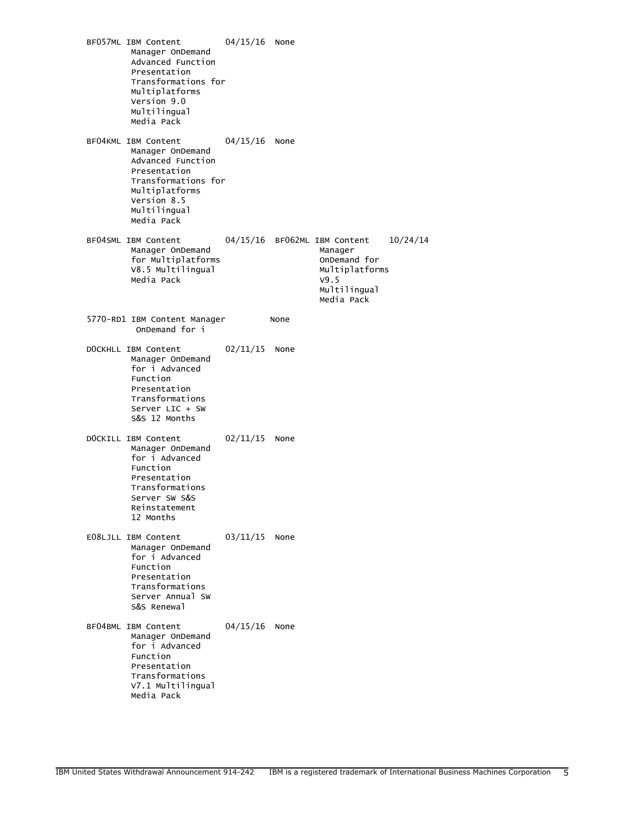BF057ML IBM Content 04/15/16 None Manager OnDemand Advanced Function Presentation Transformations for Multiplatforms Version 9.0 Multilingual Media Pack BF04KML IBM Content 04/15/16 None Manager OnDemand Advanced Function Presentation Transformations for Multiplatforms Version 8.5 Multilingual Media Pack BF04SML IBM Content 04/15/16 BF062ML IBM Content 10/24/14 Manager OnDemand Manager for Multiplatforms V8.5 Multilingual Multiplatforms Media Pack Multilingual Media Pack 5770-RD1 IBM Content Manager None OnDemand for i DOCKHLL IBM Content 02/11/15 None Manager OnDemand for i Advanced Function Presentation Transformations Server LIC + SW S&S 12 Months DOCKILL IBM Content 02/11/15 None Manager OnDemand for i Advanced Function Presentation Transformations Server SW S&S Reinstatement 12 Months E08LJLL IBM Content 03/11/15 None Manager OnDemand for i Advanced Function Presentation Transformations Server Annual SW S&S Renewal BF04BML IBM Content 04/15/16 None Manager OnDemand for i Advanced Function Presentation Transformations V7.1 Multilingual Media Pack